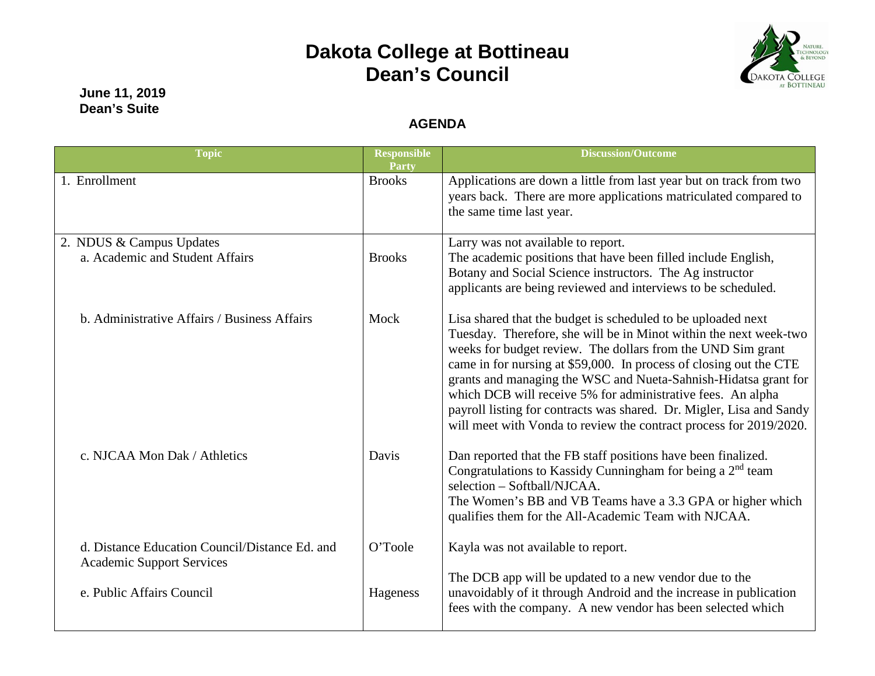## **Dakota College at Bottineau Dean's Council**



**June 11, 2019 Dean's Suite**

## **AGENDA**

| <b>Topic</b>                                                                       | <b>Responsible</b><br><b>Party</b> | <b>Discussion/Outcome</b>                                                                                                                                                                                                                                                                                                                                                                                                                                                                                                                              |
|------------------------------------------------------------------------------------|------------------------------------|--------------------------------------------------------------------------------------------------------------------------------------------------------------------------------------------------------------------------------------------------------------------------------------------------------------------------------------------------------------------------------------------------------------------------------------------------------------------------------------------------------------------------------------------------------|
| 1. Enrollment                                                                      | <b>Brooks</b>                      | Applications are down a little from last year but on track from two<br>years back. There are more applications matriculated compared to<br>the same time last year.                                                                                                                                                                                                                                                                                                                                                                                    |
| 2. NDUS & Campus Updates<br>a. Academic and Student Affairs                        | <b>Brooks</b>                      | Larry was not available to report.<br>The academic positions that have been filled include English,<br>Botany and Social Science instructors. The Ag instructor<br>applicants are being reviewed and interviews to be scheduled.                                                                                                                                                                                                                                                                                                                       |
| b. Administrative Affairs / Business Affairs                                       | Mock                               | Lisa shared that the budget is scheduled to be uploaded next<br>Tuesday. Therefore, she will be in Minot within the next week-two<br>weeks for budget review. The dollars from the UND Sim grant<br>came in for nursing at \$59,000. In process of closing out the CTE<br>grants and managing the WSC and Nueta-Sahnish-Hidatsa grant for<br>which DCB will receive 5% for administrative fees. An alpha<br>payroll listing for contracts was shared. Dr. Migler, Lisa and Sandy<br>will meet with Vonda to review the contract process for 2019/2020. |
| c. NJCAA Mon Dak / Athletics                                                       | Davis                              | Dan reported that the FB staff positions have been finalized.<br>Congratulations to Kassidy Cunningham for being a 2 <sup>nd</sup> team<br>selection - Softball/NJCAA.<br>The Women's BB and VB Teams have a 3.3 GPA or higher which<br>qualifies them for the All-Academic Team with NJCAA.                                                                                                                                                                                                                                                           |
| d. Distance Education Council/Distance Ed. and<br><b>Academic Support Services</b> | O'Toole                            | Kayla was not available to report.                                                                                                                                                                                                                                                                                                                                                                                                                                                                                                                     |
| e. Public Affairs Council                                                          | Hageness                           | The DCB app will be updated to a new vendor due to the<br>unavoidably of it through Android and the increase in publication<br>fees with the company. A new vendor has been selected which                                                                                                                                                                                                                                                                                                                                                             |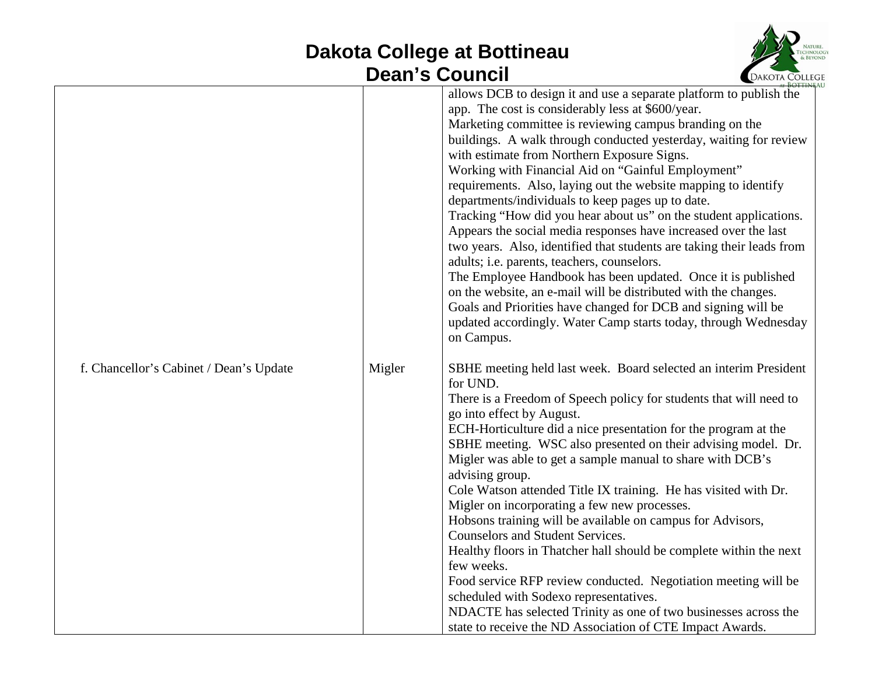## **Dakota College at Bottineau Dean's Council**



|        | allows DCB to design it and use a separate platform to publish the<br>app. The cost is considerably less at \$600/year.<br>Marketing committee is reviewing campus branding on the<br>buildings. A walk through conducted yesterday, waiting for review<br>with estimate from Northern Exposure Signs.<br>Working with Financial Aid on "Gainful Employment"<br>requirements. Also, laying out the website mapping to identify<br>departments/individuals to keep pages up to date.<br>Tracking "How did you hear about us" on the student applications.<br>Appears the social media responses have increased over the last<br>two years. Also, identified that students are taking their leads from<br>adults; i.e. parents, teachers, counselors.<br>The Employee Handbook has been updated. Once it is published<br>on the website, an e-mail will be distributed with the changes.<br>Goals and Priorities have changed for DCB and signing will be<br>updated accordingly. Water Camp starts today, through Wednesday<br>on Campus. |
|--------|------------------------------------------------------------------------------------------------------------------------------------------------------------------------------------------------------------------------------------------------------------------------------------------------------------------------------------------------------------------------------------------------------------------------------------------------------------------------------------------------------------------------------------------------------------------------------------------------------------------------------------------------------------------------------------------------------------------------------------------------------------------------------------------------------------------------------------------------------------------------------------------------------------------------------------------------------------------------------------------------------------------------------------------|
| Migler | SBHE meeting held last week. Board selected an interim President<br>for UND.<br>There is a Freedom of Speech policy for students that will need to<br>go into effect by August.<br>ECH-Horticulture did a nice presentation for the program at the<br>SBHE meeting. WSC also presented on their advising model. Dr.<br>Migler was able to get a sample manual to share with DCB's<br>advising group.<br>Cole Watson attended Title IX training. He has visited with Dr.<br>Migler on incorporating a few new processes.<br>Hobsons training will be available on campus for Advisors,<br><b>Counselors and Student Services.</b><br>Healthy floors in Thatcher hall should be complete within the next<br>few weeks.<br>Food service RFP review conducted. Negotiation meeting will be<br>scheduled with Sodexo representatives.<br>NDACTE has selected Trinity as one of two businesses across the                                                                                                                                      |
|        |                                                                                                                                                                                                                                                                                                                                                                                                                                                                                                                                                                                                                                                                                                                                                                                                                                                                                                                                                                                                                                          |